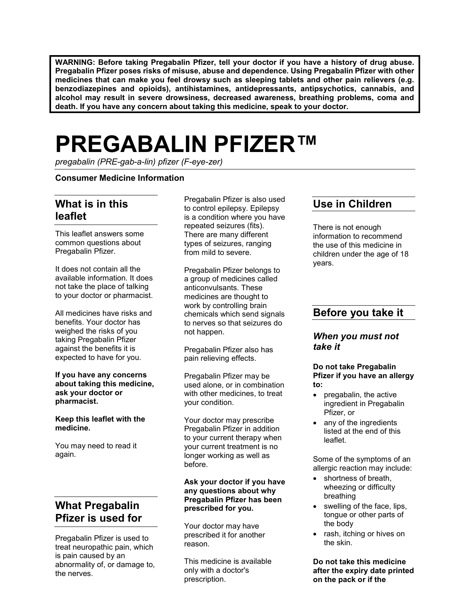**WARNING: Before taking Pregabalin Pfizer, tell your doctor if you have a history of drug abuse. Pregabalin Pfizer poses risks of misuse, abuse and dependence. Using Pregabalin Pfizer with other medicines that can make you feel drowsy such as sleeping tablets and other pain relievers (e.g. benzodiazepines and opioids), antihistamines, antidepressants, antipsychotics, cannabis, and alcohol may result in severe drowsiness, decreased awareness, breathing problems, coma and death. If you have any concern about taking this medicine, speak to your doctor.**

# **PREGABALIN PFIZER™**

*pregabalin (PRE-gab-a-lin) pfizer (F-eye-zer)*

### **Consumer Medicine Information**

# **What is in this leaflet**

This leaflet answers some common questions about Pregabalin Pfizer.

It does not contain all the available information. It does not take the place of talking to your doctor or pharmacist.

All medicines have risks and benefits. Your doctor has weighed the risks of you taking Pregabalin Pfizer against the benefits it is expected to have for you.

#### **If you have any concerns about taking this medicine, ask your doctor or pharmacist.**

#### **Keep this leaflet with the medicine.**

You may need to read it again.

# **What Pregabalin Pfizer is used for**

Pregabalin Pfizer is used to treat neuropathic pain, which is pain caused by an abnormality of, or damage to, the nerves.

Pregabalin Pfizer is also used to control epilepsy. Epilepsy is a condition where you have repeated seizures (fits). There are many different types of seizures, ranging from mild to severe.

Pregabalin Pfizer belongs to a group of medicines called anticonvulsants. These medicines are thought to work by controlling brain chemicals which send signals to nerves so that seizures do not happen.

Pregabalin Pfizer also has pain relieving effects.

Pregabalin Pfizer may be used alone, or in combination with other medicines, to treat your condition.

Your doctor may prescribe Pregabalin Pfizer in addition to your current therapy when your current treatment is no longer working as well as before.

### **Ask your doctor if you have any questions about why Pregabalin Pfizer has been prescribed for you.**

Your doctor may have prescribed it for another reason.

This medicine is available only with a doctor's prescription.

# **Use in Children**

There is not enough information to recommend the use of this medicine in children under the age of 18 years.

# **Before you take it**

### *When you must not take it*

#### **Do not take Pregabalin Pfizer if you have an allergy to:**

- pregabalin, the active ingredient in Pregabalin Pfizer, or
- any of the ingredients listed at the end of this leaflet.

Some of the symptoms of an allergic reaction may include:

- shortness of breath, wheezing or difficulty breathing
- swelling of the face, lips, tongue or other parts of the body
- rash, itching or hives on the skin.

**Do not take this medicine after the expiry date printed on the pack or if the**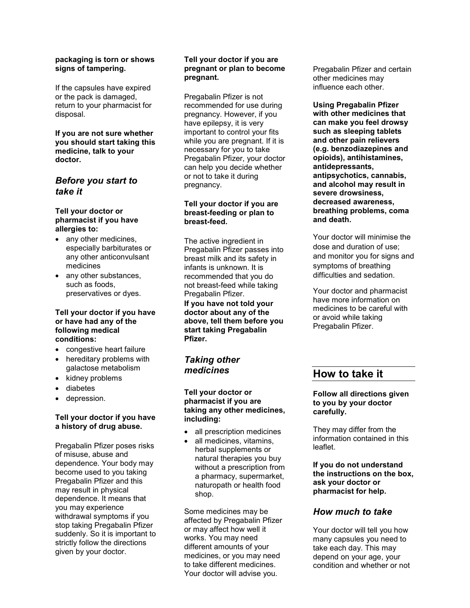### **packaging is torn or shows signs of tampering.**

If the capsules have expired or the pack is damaged, return to your pharmacist for disposal.

### **If you are not sure whether you should start taking this medicine, talk to your doctor.**

### *Before you start to take it*

### **Tell your doctor or pharmacist if you have allergies to:**

- any other medicines, especially barbiturates or any other anticonvulsant medicines
- any other substances, such as foods, preservatives or dyes.

#### **Tell your doctor if you have or have had any of the following medical conditions:**

- congestive heart failure
- hereditary problems with galactose metabolism
- kidney problems
- diabetes
- depression.

### **Tell your doctor if you have a history of drug abuse.**

Pregabalin Pfizer poses risks of misuse, abuse and dependence. Your body may become used to you taking Pregabalin Pfizer and this may result in physical dependence. It means that you may experience withdrawal symptoms if you stop taking Pregabalin Pfizer suddenly. So it is important to strictly follow the directions given by your doctor.

### **Tell your doctor if you are pregnant or plan to become pregnant.**

Pregabalin Pfizer is not recommended for use during pregnancy. However, if you have epilepsy, it is very important to control your fits while you are pregnant. If it is necessary for you to take Pregabalin Pfizer, your doctor can help you decide whether or not to take it during pregnancy.

### **Tell your doctor if you are breast-feeding or plan to breast-feed.**

The active ingredient in Pregabalin Pfizer passes into breast milk and its safety in infants is unknown. It is recommended that you do not breast-feed while taking Pregabalin Pfizer.

**If you have not told your doctor about any of the above, tell them before you start taking Pregabalin Pfizer.**

# *Taking other medicines*

### **Tell your doctor or pharmacist if you are taking any other medicines, including:**

- all prescription medicines
- all medicines, vitamins, herbal supplements or natural therapies you buy without a prescription from a pharmacy, supermarket, naturopath or health food shop.

Some medicines may be affected by Pregabalin Pfizer or may affect how well it works. You may need different amounts of your medicines, or you may need to take different medicines. Your doctor will advise you.

Pregabalin Pfizer and certain other medicines may influence each other.

**Using Pregabalin Pfizer with other medicines that can make you feel drowsy such as sleeping tablets and other pain relievers (e.g. benzodiazepines and opioids), antihistamines, antidepressants, antipsychotics, cannabis, and alcohol may result in severe drowsiness, decreased awareness, breathing problems, coma and death.**

Your doctor will minimise the dose and duration of use; and monitor you for signs and symptoms of breathing difficulties and sedation.

Your doctor and pharmacist have more information on medicines to be careful with or avoid while taking Pregabalin Pfizer.

# **How to take it**

### **Follow all directions given to you by your doctor carefully.**

They may differ from the information contained in this leaflet.

**If you do not understand the instructions on the box, ask your doctor or pharmacist for help.**

# *How much to take*

Your doctor will tell you how many capsules you need to take each day. This may depend on your age, your condition and whether or not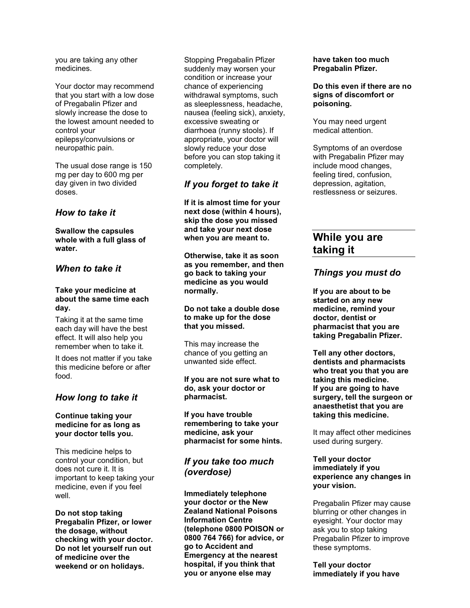you are taking any other medicines.

Your doctor may recommend that you start with a low dose of Pregabalin Pfizer and slowly increase the dose to the lowest amount needed to control your epilepsy/convulsions or neuropathic pain.

The usual dose range is 150 mg per day to 600 mg per day given in two divided doses.

### *How to take it*

**Swallow the capsules whole with a full glass of water.**

### *When to take it*

### **Take your medicine at about the same time each day.**

Taking it at the same time each day will have the best effect. It will also help you remember when to take it.

It does not matter if you take this medicine before or after food.

### *How long to take it*

### **Continue taking your medicine for as long as your doctor tells you.**

This medicine helps to control your condition, but does not cure it. It is important to keep taking your medicine, even if you feel well.

**Do not stop taking Pregabalin Pfizer, or lower the dosage, without checking with your doctor. Do not let yourself run out of medicine over the weekend or on holidays.**

Stopping Pregabalin Pfizer suddenly may worsen your condition or increase your chance of experiencing withdrawal symptoms, such as sleeplessness, headache, nausea (feeling sick), anxiety, excessive sweating or diarrhoea (runny stools). If appropriate, your doctor will slowly reduce your dose before you can stop taking it completely.

### *If you forget to take it*

**If it is almost time for your next dose (within 4 hours), skip the dose you missed and take your next dose when you are meant to.**

**Otherwise, take it as soon as you remember, and then go back to taking your medicine as you would normally.**

### **Do not take a double dose to make up for the dose that you missed.**

This may increase the chance of you getting an unwanted side effect.

#### **If you are not sure what to do, ask your doctor or pharmacist.**

**If you have trouble remembering to take your medicine, ask your pharmacist for some hints.**

# *If you take too much (overdose)*

**Immediately telephone your doctor or the New Zealand National Poisons Information Centre (telephone 0800 POISON or 0800 764 766) for advice, or go to Accident and Emergency at the nearest hospital, if you think that you or anyone else may** 

### **have taken too much Pregabalin Pfizer.**

**Do this even if there are no signs of discomfort or poisoning.**

You may need urgent medical attention.

Symptoms of an overdose with Pregabalin Pfizer may include mood changes, feeling tired, confusion, depression, agitation, restlessness or seizures.

# **While you are taking it**

### *Things you must do*

**If you are about to be started on any new medicine, remind your doctor, dentist or pharmacist that you are taking Pregabalin Pfizer.**

**Tell any other doctors, dentists and pharmacists who treat you that you are taking this medicine. If you are going to have surgery, tell the surgeon or anaesthetist that you are taking this medicine.**

It may affect other medicines used during surgery.

### **Tell your doctor immediately if you experience any changes in your vision.**

Pregabalin Pfizer may cause blurring or other changes in eyesight. Your doctor may ask you to stop taking Pregabalin Pfizer to improve these symptoms.

**Tell your doctor immediately if you have**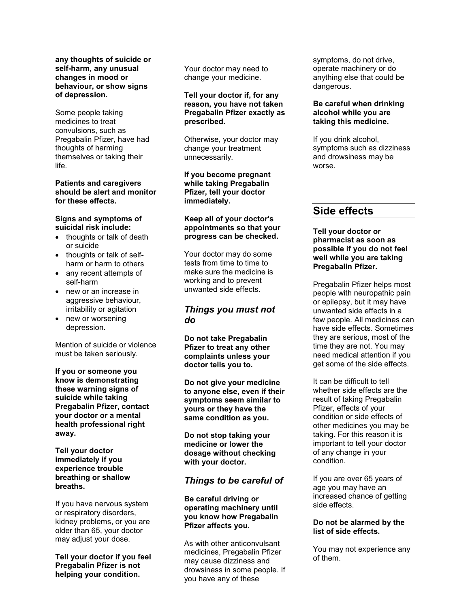**any thoughts of suicide or self-harm, any unusual changes in mood or behaviour, or show signs of depression.**

Some people taking medicines to treat convulsions, such as Pregabalin Pfizer, have had thoughts of harming themselves or taking their life.

### **Patients and caregivers should be alert and monitor for these effects.**

#### **Signs and symptoms of suicidal risk include:**

- thoughts or talk of death or suicide
- thoughts or talk of selfharm or harm to others
- any recent attempts of self-harm
- new or an increase in aggressive behaviour, irritability or agitation
- new or worsening depression.

Mention of suicide or violence must be taken seriously.

**If you or someone you know is demonstrating these warning signs of suicide while taking Pregabalin Pfizer, contact your doctor or a mental health professional right away.**

**Tell your doctor immediately if you experience trouble breathing or shallow breaths.**

If you have nervous system or respiratory disorders, kidney problems, or you are older than 65, your doctor may adjust your dose.

**Tell your doctor if you feel Pregabalin Pfizer is not helping your condition.**

Your doctor may need to change your medicine.

### **Tell your doctor if, for any reason, you have not taken Pregabalin Pfizer exactly as prescribed.**

Otherwise, your doctor may change your treatment unnecessarily.

**If you become pregnant while taking Pregabalin Pfizer, tell your doctor immediately.**

### **Keep all of your doctor's appointments so that your progress can be checked.**

Your doctor may do some tests from time to time to make sure the medicine is working and to prevent unwanted side effects.

### *Things you must not do*

**Do not take Pregabalin Pfizer to treat any other complaints unless your doctor tells you to.**

**Do not give your medicine to anyone else, even if their symptoms seem similar to yours or they have the same condition as you.**

**Do not stop taking your medicine or lower the dosage without checking with your doctor.**

# *Things to be careful of*

### **Be careful driving or operating machinery until you know how Pregabalin Pfizer affects you.**

As with other anticonvulsant medicines, Pregabalin Pfizer may cause dizziness and drowsiness in some people. If you have any of these

symptoms, do not drive, operate machinery or do anything else that could be dangerous.

### **Be careful when drinking alcohol while you are taking this medicine.**

If you drink alcohol, symptoms such as dizziness and drowsiness may be worse.

# **Side effects**

### **Tell your doctor or pharmacist as soon as possible if you do not feel well while you are taking Pregabalin Pfizer.**

Pregabalin Pfizer helps most people with neuropathic pain or epilepsy, but it may have unwanted side effects in a few people. All medicines can have side effects. Sometimes they are serious, most of the time they are not. You may need medical attention if you get some of the side effects.

It can be difficult to tell whether side effects are the result of taking Pregabalin Pfizer, effects of your condition or side effects of other medicines you may be taking. For this reason it is important to tell your doctor of any change in your condition.

If you are over 65 years of age you may have an increased chance of getting side effects.

### **Do not be alarmed by the list of side effects.**

You may not experience any of them.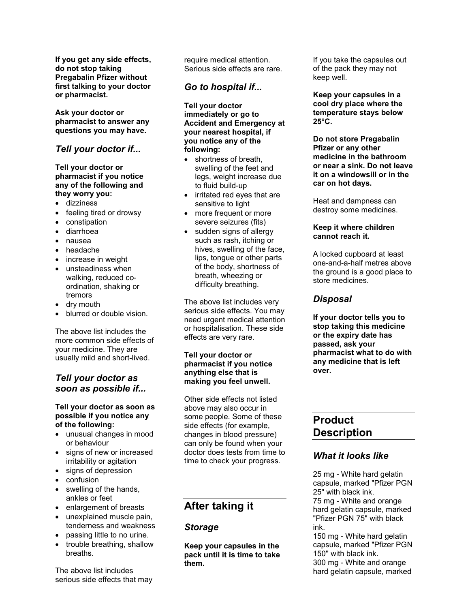**If you get any side effects, do not stop taking Pregabalin Pfizer without first talking to your doctor or pharmacist.**

**Ask your doctor or pharmacist to answer any questions you may have.**

# *Tell your doctor if...*

**Tell your doctor or pharmacist if you notice any of the following and they worry you:**

- dizziness
- feeling tired or drowsy
- constipation
- diarrhoea
- nausea
- headache
- increase in weight
- unsteadiness when walking, reduced coordination, shaking or tremors
- dry mouth
- blurred or double vision.

The above list includes the more common side effects of your medicine. They are usually mild and short-lived.

### *Tell your doctor as soon as possible if...*

### **Tell your doctor as soon as possible if you notice any of the following:**

- unusual changes in mood or behaviour
- signs of new or increased irritability or agitation
- signs of depression
- confusion
- swelling of the hands, ankles or feet
- enlargement of breasts
- unexplained muscle pain, tenderness and weakness
- passing little to no urine.
- trouble breathing, shallow breaths.

The above list includes serious side effects that may require medical attention. Serious side effects are rare.

# *Go to hospital if...*

**Tell your doctor immediately or go to Accident and Emergency at your nearest hospital, if you notice any of the following:**

- shortness of breath, swelling of the feet and legs, weight increase due to fluid build-up
- irritated red eyes that are sensitive to light
- more frequent or more severe seizures (fits)
- sudden signs of allergy such as rash, itching or hives, swelling of the face, lips, tongue or other parts of the body, shortness of breath, wheezing or difficulty breathing.

The above list includes very serious side effects. You may need urgent medical attention or hospitalisation. These side effects are very rare.

### **Tell your doctor or pharmacist if you notice anything else that is making you feel unwell.**

Other side effects not listed above may also occur in some people. Some of these side effects (for example, changes in blood pressure) can only be found when your doctor does tests from time to time to check your progress.

# **After taking it**

# *Storage*

**Keep your capsules in the pack until it is time to take them.**

If you take the capsules out of the pack they may not keep well.

**Keep your capsules in a cool dry place where the temperature stays below 25°C.**

**Do not store Pregabalin Pfizer or any other medicine in the bathroom or near a sink. Do not leave it on a windowsill or in the car on hot days.**

Heat and dampness can destroy some medicines.

### **Keep it where children cannot reach it.**

A locked cupboard at least one-and-a-half metres above the ground is a good place to store medicines.

# *Disposal*

**If your doctor tells you to stop taking this medicine or the expiry date has passed, ask your pharmacist what to do with any medicine that is left over.**

# **Product Description**

# *What it looks like*

25 mg - White hard gelatin capsule, marked "Pfizer PGN 25" with black ink. 75 mg - White and orange hard gelatin capsule, marked "Pfizer PGN 75" with black ink.

150 mg - White hard gelatin capsule, marked "Pfizer PGN 150" with black ink.

300 mg - White and orange hard gelatin capsule, marked